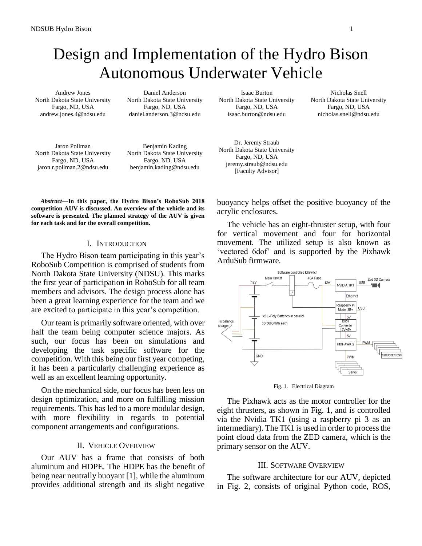# Design and Implementation of the Hydro Bison Autonomous Underwater Vehicle

Andrew Jones North Dakota State University Fargo, ND, USA andrew.jones.4@ndsu.edu

Daniel Anderson North Dakota State University Fargo, ND, USA daniel.anderson.3@ndsu.edu

Isaac Burton North Dakota State University Fargo, ND, USA isaac.burton@ndsu.edu

Nicholas Snell North Dakota State University Fargo, ND, USA nicholas.snell@ndsu.edu

Jaron Pollman North Dakota State University Fargo, ND, USA jaron.r.pollman.2@ndsu.edu

Benjamin Kading North Dakota State University Fargo, ND, USA benjamin.kading@ndsu.edu

Dr. Jeremy Straub North Dakota State University Fargo, ND, USA jeremy.straub@ndsu.edu [Faculty Advisor]

*Abstract***—In this paper, the Hydro Bison's RoboSub 2018 competition AUV is discussed. An overview of the vehicle and its software is presented. The planned strategy of the AUV is given for each task and for the overall competition.**

#### I. INTRODUCTION

The Hydro Bison team participating in this year's RoboSub Competition is comprised of students from North Dakota State University (NDSU). This marks the first year of participation in RoboSub for all team members and advisors. The design process alone has been a great learning experience for the team and we are excited to participate in this year's competition.

Our team is primarily software oriented, with over half the team being computer science majors. As such, our focus has been on simulations and developing the task specific software for the competition. With this being our first year competing, it has been a particularly challenging experience as well as an excellent learning opportunity.

On the mechanical side, our focus has been less on design optimization, and more on fulfilling mission requirements. This has led to a more modular design, with more flexibility in regards to potential component arrangements and configurations.

## II. VEHICLE OVERVIEW

Our AUV has a frame that consists of both aluminum and HDPE. The HDPE has the benefit of being near neutrally buoyant [1], while the aluminum provides additional strength and its slight negative

buoyancy helps offset the positive buoyancy of the acrylic enclosures.

The vehicle has an eight-thruster setup, with four for vertical movement and four for horizontal movement. The utilized setup is also known as 'vectored 6dof' and is supported by the Pixhawk ArduSub firmware.



Fig. 1. Electrical Diagram

The Pixhawk acts as the motor controller for the eight thrusters, as shown in Fig. 1, and is controlled via the Nvidia TK1 (using a raspberry pi 3 as an intermediary). The TK1 is used in order to process the point cloud data from the ZED camera, which is the primary sensor on the AUV.

#### III. SOFTWARE OVERVIEW

The software architecture for our AUV, depicted in Fig. 2, consists of original Python code, ROS,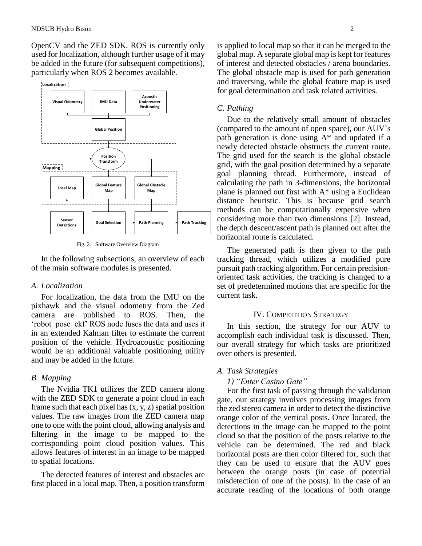OpenCV and the ZED SDK. ROS is currently only used for localization, although further usage of it may be added in the future (for subsequent competitions), particularly when ROS 2 becomes available.



Fig. 2. Software Overview Diagram

In the following subsections, an overview of each of the main software modules is presented.

### *A. Localization*

For localization, the data from the IMU on the pixhawk and the visual odometry from the Zed camera are published to ROS. Then, the 'robot\_pose\_ekf' ROS node fuses the data and uses it in an extended Kalman filter to estimate the current position of the vehicle. Hydroacoustic positioning would be an additional valuable positioning utility and may be added in the future.

#### *B. Mapping*

The Nvidia TK1 utilizes the ZED camera along with the ZED SDK to generate a point cloud in each frame such that each pixel has  $(x, y, z)$  spatial position values. The raw images from the ZED camera map one to one with the point cloud, allowing analysis and filtering in the image to be mapped to the corresponding point cloud position values. This allows features of interest in an image to be mapped to spatial locations.

The detected features of interest and obstacles are first placed in a local map. Then, a position transform is applied to local map so that it can be merged to the global map. A separate global map is kept for features of interest and detected obstacles / arena boundaries. The global obstacle map is used for path generation and traversing, while the global feature map is used for goal determination and task related activities.

#### *C. Pathing*

Due to the relatively small amount of obstacles (compared to the amount of open space), our AUV's path generation is done using A\* and updated if a newly detected obstacle obstructs the current route. The grid used for the search is the global obstacle grid, with the goal position determined by a separate goal planning thread. Furthermore, instead of calculating the path in 3-dimensions, the horizontal plane is planned out first with A\* using a Euclidean distance heuristic. This is because grid search methods can be computationally expensive when considering more than two dimensions [2]. Instead, the depth descent/ascent path is planned out after the horizontal route is calculated.

The generated path is then given to the path tracking thread, which utilizes a modified pure pursuit path tracking algorithm. For certain precisionoriented task activities, the tracking is changed to a set of predetermined motions that are specific for the current task.

## IV. COMPETITION STRATEGY

In this section, the strategy for our AUV to accomplish each individual task is discussed. Then, our overall strategy for which tasks are prioritized over others is presented.

#### *A. Task Strategies*

## *1) "Enter Casino Gate"*

For the first task of passing through the validation gate, our strategy involves processing images from the zed stereo camera in order to detect the distinctive orange color of the vertical posts. Once located, the detections in the image can be mapped to the point cloud so that the position of the posts relative to the vehicle can be determined. The red and black horizontal posts are then color filtered for, such that they can be used to ensure that the AUV goes between the orange posts (in case of potential misdetection of one of the posts). In the case of an accurate reading of the locations of both orange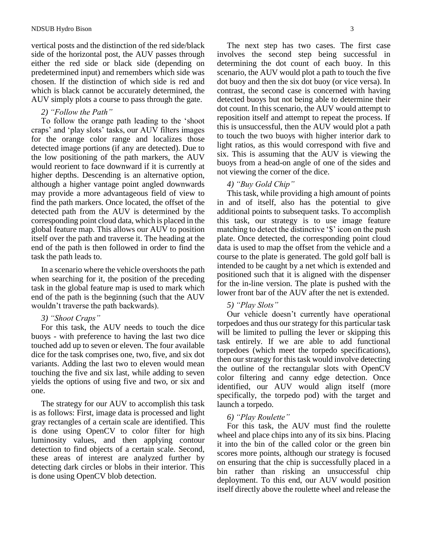vertical posts and the distinction of the red side/black side of the horizontal post, the AUV passes through either the red side or black side (depending on predetermined input) and remembers which side was chosen. If the distinction of which side is red and which is black cannot be accurately determined, the AUV simply plots a course to pass through the gate.

## *2) "Follow the Path"*

To follow the orange path leading to the 'shoot craps' and 'play slots' tasks, our AUV filters images for the orange color range and localizes those detected image portions (if any are detected). Due to the low positioning of the path markers, the AUV would reorient to face downward if it is currently at higher depths. Descending is an alternative option, although a higher vantage point angled downwards may provide a more advantageous field of view to find the path markers. Once located, the offset of the detected path from the AUV is determined by the corresponding point cloud data, which is placed in the global feature map. This allows our AUV to position itself over the path and traverse it. The heading at the end of the path is then followed in order to find the task the path leads to.

In a scenario where the vehicle overshoots the path when searching for it, the position of the preceding task in the global feature map is used to mark which end of the path is the beginning (such that the AUV wouldn't traverse the path backwards).

## *3) "Shoot Craps"*

For this task, the AUV needs to touch the dice buoys - with preference to having the last two dice touched add up to seven or eleven. The four available dice for the task comprises one, two, five, and six dot variants. Adding the last two to eleven would mean touching the five and six last, while adding to seven yields the options of using five and two, or six and one.

The strategy for our AUV to accomplish this task is as follows: First, image data is processed and light gray rectangles of a certain scale are identified. This is done using OpenCV to color filter for high luminosity values, and then applying contour detection to find objects of a certain scale. Second, these areas of interest are analyzed further by detecting dark circles or blobs in their interior. This is done using OpenCV blob detection.

The next step has two cases. The first case involves the second step being successful in determining the dot count of each buoy. In this scenario, the AUV would plot a path to touch the five dot buoy and then the six dot buoy (or vice versa). In contrast, the second case is concerned with having detected buoys but not being able to determine their dot count. In this scenario, the AUV would attempt to reposition itself and attempt to repeat the process. If this is unsuccessful, then the AUV would plot a path to touch the two buoys with higher interior dark to light ratios, as this would correspond with five and six. This is assuming that the AUV is viewing the buoys from a head-on angle of one of the sides and not viewing the corner of the dice.

## *4) "Buy Gold Chip"*

This task, while providing a high amount of points in and of itself, also has the potential to give additional points to subsequent tasks. To accomplish this task, our strategy is to use image feature matching to detect the distinctive '\$' icon on the push plate. Once detected, the corresponding point cloud data is used to map the offset from the vehicle and a course to the plate is generated. The gold golf ball is intended to be caught by a net which is extended and positioned such that it is aligned with the dispenser for the in-line version. The plate is pushed with the lower front bar of the AUV after the net is extended.

# *5) "Play Slots"*

Our vehicle doesn't currently have operational torpedoes and thus our strategy for this particular task will be limited to pulling the lever or skipping this task entirely. If we are able to add functional torpedoes (which meet the torpedo specifications), then our strategy for this task would involve detecting the outline of the rectangular slots with OpenCV color filtering and canny edge detection. Once identified, our AUV would align itself (more specifically, the torpedo pod) with the target and launch a torpedo.

# *6) "Play Roulette"*

For this task, the AUV must find the roulette wheel and place chips into any of its six bins. Placing it into the bin of the called color or the green bin scores more points, although our strategy is focused on ensuring that the chip is successfully placed in a bin rather than risking an unsuccessful chip deployment. To this end, our AUV would position itself directly above the roulette wheel and release the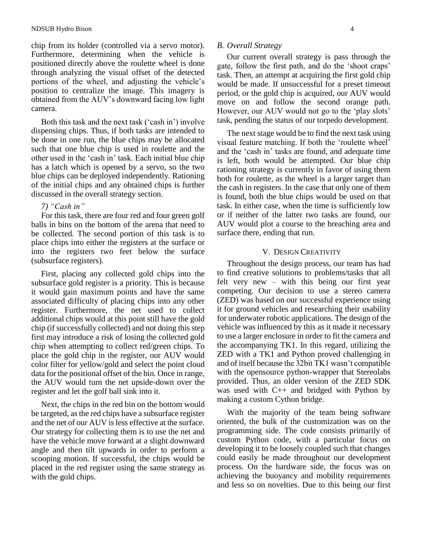chip from its holder (controlled via a servo motor). Furthermore, determining when the vehicle is positioned directly above the roulette wheel is done through analyzing the visual offset of the detected portions of the wheel, and adjusting the vehicle's position to centralize the image. This imagery is obtained from the AUV's downward facing low light camera.

Both this task and the next task ('cash in') involve dispensing chips. Thus, if both tasks are intended to be done in one run, the blue chips may be allocated such that one blue chip is used in roulette and the other used in the 'cash in' task. Each initial blue chip has a latch which is opened by a servo, so the two blue chips can be deployed independently. Rationing of the initial chips and any obtained chips is further discussed in the overall strategy section.

## *7) "Cash in"*

For this task, there are four red and four green golf balls in bins on the bottom of the arena that need to be collected. The second portion of this task is to place chips into either the registers at the surface or into the registers two feet below the surface (subsurface registers).

First, placing any collected gold chips into the subsurface gold register is a priority. This is because it would gain maximum points and have the same associated difficulty of placing chips into any other register. Furthermore, the net used to collect additional chips would at this point still have the gold chip (if successfully collected) and not doing this step first may introduce a risk of losing the collected gold chip when attempting to collect red/green chips. To place the gold chip in the register, our AUV would color filter for yellow/gold and select the point cloud data for the positional offset of the bin. Once in range, the AUV would turn the net upside-down over the register and let the golf ball sink into it.

Next, the chips in the red bin on the bottom would be targeted, as the red chips have a subsurface register and the net of our AUV is less effective at the surface. Our strategy for collecting them is to use the net and have the vehicle move forward at a slight downward angle and then tilt upwards in order to perform a scooping motion. If successful, the chips would be placed in the red register using the same strategy as with the gold chips.

#### *B. Overall Strategy*

Our current overall strategy is pass through the gate, follow the first path, and do the 'shoot craps' task. Then, an attempt at acquiring the first gold chip would be made. If unsuccessful for a preset timeout period, or the gold chip is acquired, our AUV would move on and follow the second orange path. However, our AUV would not go to the 'play slots' task, pending the status of our torpedo development.

The next stage would be to find the next task using visual feature matching. If both the 'roulette wheel' and the 'cash in' tasks are found, and adequate time is left, both would be attempted. Our blue chip rationing strategy is currently in favor of using them both for roulette, as the wheel is a larger target than the cash in registers. In the case that only one of them is found, both the blue chips would be used on that task. In either case, when the time is sufficiently low or if neither of the latter two tasks are found, our AUV would plot a course to the breaching area and surface there, ending that run.

#### V. DESIGN CREATIVITY

Throughout the design process, our team has had to find creative solutions to problems/tasks that all felt very new – with this being our first year competing. Our decision to use a stereo camera (ZED) was based on our successful experience using it for ground vehicles and researching their usability for underwater robotic applications. The design of the vehicle was influenced by this as it made it necessary to use a larger enclosure in order to fit the camera and the accompanying TK1. In this regard, utilizing the ZED with a TK1 and Python proved challenging in and of itself because the 32bit TK1 wasn't compatible with the opensource python-wrapper that Stereolabs provided. Thus, an older version of the ZED SDK was used with C++ and bridged with Python by making a custom Cython bridge.

With the majority of the team being software oriented, the bulk of the customization was on the programming side. The code consists primarily of custom Python code, with a particular focus on developing it to be loosely coupled such that changes could easily be made throughout our development process. On the hardware side, the focus was on achieving the buoyancy and mobility requirements and less so on novelties. Due to this being our first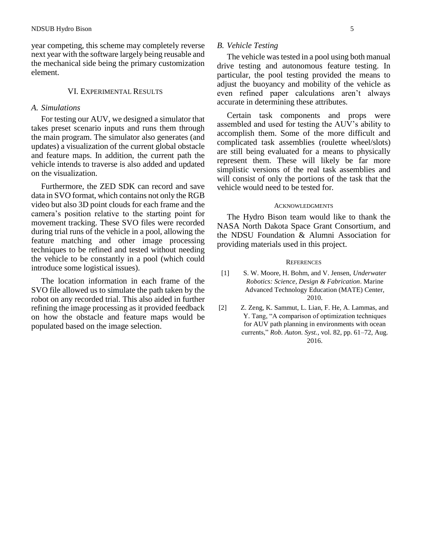year competing, this scheme may completely reverse next year with the software largely being reusable and the mechanical side being the primary customization element.

## VI. EXPERIMENTAL RESULTS

#### *A. Simulations*

For testing our AUV, we designed a simulator that takes preset scenario inputs and runs them through the main program. The simulator also generates (and updates) a visualization of the current global obstacle and feature maps. In addition, the current path the vehicle intends to traverse is also added and updated on the visualization.

Furthermore, the ZED SDK can record and save data in SVO format, which contains not only the RGB video but also 3D point clouds for each frame and the camera's position relative to the starting point for movement tracking. These SVO files were recorded during trial runs of the vehicle in a pool, allowing the feature matching and other image processing techniques to be refined and tested without needing the vehicle to be constantly in a pool (which could introduce some logistical issues).

The location information in each frame of the SVO file allowed us to simulate the path taken by the robot on any recorded trial. This also aided in further refining the image processing as it provided feedback on how the obstacle and feature maps would be populated based on the image selection.

## *B. Vehicle Testing*

The vehicle was tested in a pool using both manual drive testing and autonomous feature testing. In particular, the pool testing provided the means to adjust the buoyancy and mobility of the vehicle as even refined paper calculations aren't always accurate in determining these attributes.

Certain task components and props were assembled and used for testing the AUV's ability to accomplish them. Some of the more difficult and complicated task assemblies (roulette wheel/slots) are still being evaluated for a means to physically represent them. These will likely be far more simplistic versions of the real task assemblies and will consist of only the portions of the task that the vehicle would need to be tested for.

#### **ACKNOWLEDGMENTS**

The Hydro Bison team would like to thank the NASA North Dakota Space Grant Consortium, and the NDSU Foundation & Alumni Association for providing materials used in this project.

#### **REFERENCES**

- [1] S. W. Moore, H. Bohm, and V. Jensen, *Underwater Robotics: Science, Design & Fabrication*. Marine Advanced Technology Education (MATE) Center, 2010.
- [2] Z. Zeng, K. Sammut, L. Lian, F. He, A. Lammas, and Y. Tang, "A comparison of optimization techniques for AUV path planning in environments with ocean currents," *Rob. Auton. Syst.*, vol. 82, pp. 61–72, Aug. 2016.